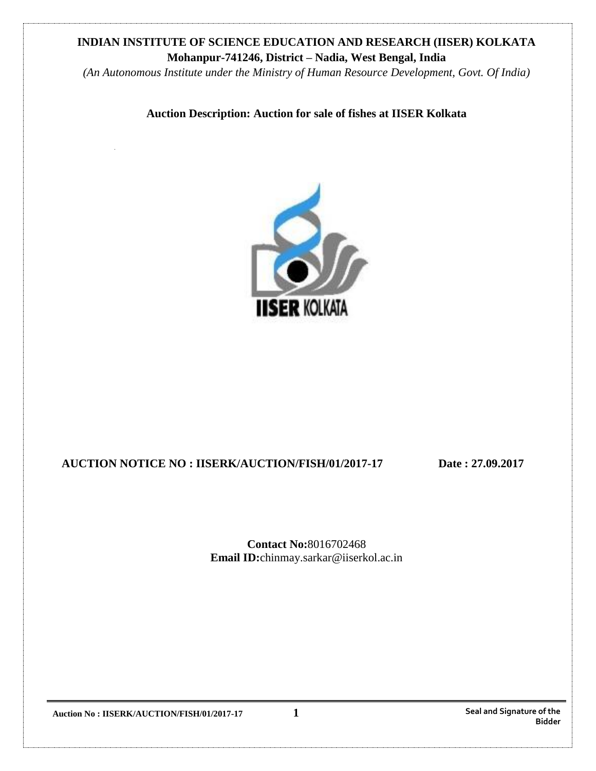# **INDIAN INSTITUTE OF SCIENCE EDUCATION AND RESEARCH (IISER) KOLKATA Mohanpur-741246, District – Nadia, West Bengal, India**

*(An Autonomous Institute under the Ministry of Human Resource Development, Govt. Of India)*

# **Auction Description: Auction for sale of fishes at IISER Kolkata**



# **AUCTION NOTICE NO : IISERK/AUCTION/FISH/01/2017-17 Date : 27.09.2017**

**Contact No:**8016702468 **Email ID:**chinmay.sarkar@iiserkol.ac.in

**Bidder**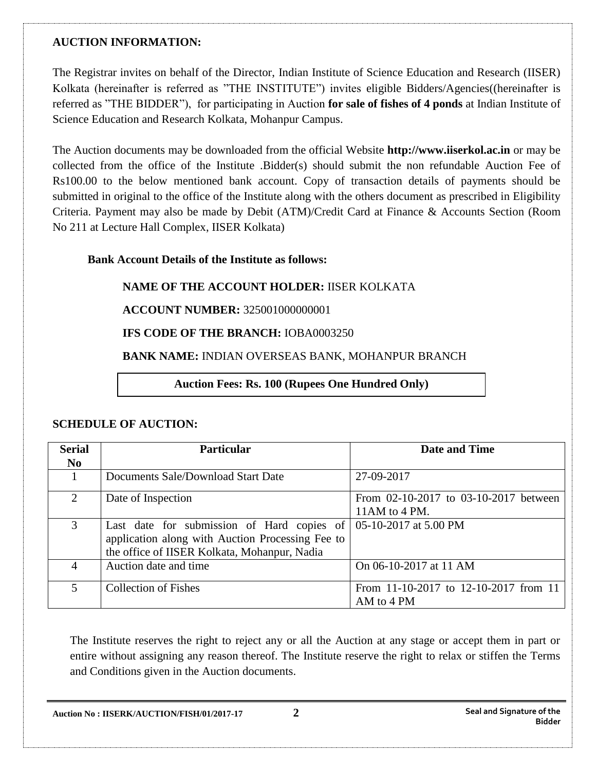### **AUCTION INFORMATION:**

The Registrar invites on behalf of the Director, Indian Institute of Science Education and Research (IISER) Kolkata (hereinafter is referred as "THE INSTITUTE") invites eligible Bidders/Agencies((hereinafter is referred as "THE BIDDER"), for participating in Auction **for sale of fishes of 4 ponds** at Indian Institute of Science Education and Research Kolkata, Mohanpur Campus.

The Auction documents may be downloaded from the official Website **http://www.iiserkol.ac.in** or may be collected from the office of the Institute .Bidder(s) should submit the non refundable Auction Fee of Rs100.00 to the below mentioned bank account. Copy of transaction details of payments should be submitted in original to the office of the Institute along with the others document as prescribed in Eligibility Criteria. Payment may also be made by Debit (ATM)/Credit Card at Finance & Accounts Section (Room No 211 at Lecture Hall Complex, IISER Kolkata)

### **Bank Account Details of the Institute as follows:**

### **NAME OF THE ACCOUNT HOLDER:** IISER KOLKATA

#### **ACCOUNT NUMBER:** 325001000000001

#### **IFS CODE OF THE BRANCH:** IOBA0003250

#### **BANK NAME:** INDIAN OVERSEAS BANK, MOHANPUR BRANCH

**Auction Fees: Rs. 100 (Rupees One Hundred Only)**

| <b>Serial</b>               | <b>Particular</b>                                | <b>Date and Time</b>                  |  |  |
|-----------------------------|--------------------------------------------------|---------------------------------------|--|--|
| $\bf No$                    |                                                  |                                       |  |  |
|                             | Documents Sale/Download Start Date               | 27-09-2017                            |  |  |
| $\mathcal{D}_{\mathcal{L}}$ | Date of Inspection                               | From 02-10-2017 to 03-10-2017 between |  |  |
|                             |                                                  | 11AM to 4 PM.                         |  |  |
| 3                           | Last date for submission of Hard copies of       | 05-10-2017 at 5.00 PM                 |  |  |
|                             | application along with Auction Processing Fee to |                                       |  |  |
|                             | the office of IISER Kolkata, Mohanpur, Nadia     |                                       |  |  |
| 4                           | Auction date and time                            | On 06-10-2017 at 11 AM                |  |  |
| $\mathcal{F}$               | <b>Collection of Fishes</b>                      | From 11-10-2017 to 12-10-2017 from 11 |  |  |
|                             |                                                  | AM to 4 PM                            |  |  |

#### **SCHEDULE OF AUCTION:**

The Institute reserves the right to reject any or all the Auction at any stage or accept them in part or entire without assigning any reason thereof. The Institute reserve the right to relax or stiffen the Terms and Conditions given in the Auction documents.

**Auction No : IISERK/AUCTION/FISH/01/2017-17 2 Seal and Signature of the**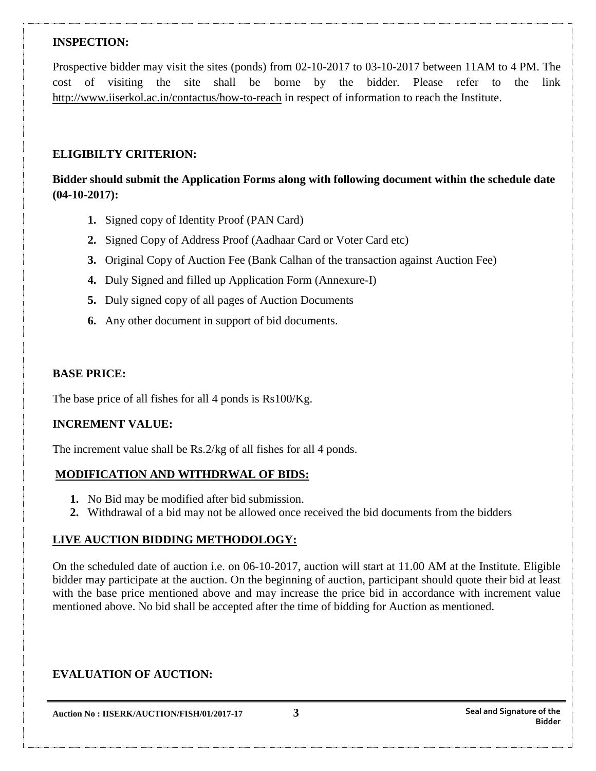#### **INSPECTION:**

Prospective bidder may visit the sites (ponds) from 02-10-2017 to 03-10-2017 between 11AM to 4 PM. The cost of visiting the site shall be borne by the bidder. Please refer to the link http://www.iiserkol.ac.in/contactus/how-to-reach in respect of information to reach the Institute.

#### **ELIGIBILTY CRITERION:**

**Bidder should submit the Application Forms along with following document within the schedule date (04-10-2017):**

- **1.** Signed copy of Identity Proof (PAN Card)
- **2.** Signed Copy of Address Proof (Aadhaar Card or Voter Card etc)
- **3.** Original Copy of Auction Fee (Bank Calhan of the transaction against Auction Fee)
- **4.** Duly Signed and filled up Application Form (Annexure-I)
- **5.** Duly signed copy of all pages of Auction Documents
- **6.** Any other document in support of bid documents.

#### **BASE PRICE:**

The base price of all fishes for all 4 ponds is Rs100/Kg.

#### **INCREMENT VALUE:**

The increment value shall be Rs.2/kg of all fishes for all 4 ponds.

#### **MODIFICATION AND WITHDRWAL OF BIDS:**

- **1.** No Bid may be modified after bid submission.
- **2.** Withdrawal of a bid may not be allowed once received the bid documents from the bidders

#### **LIVE AUCTION BIDDING METHODOLOGY:**

On the scheduled date of auction i.e. on 06-10-2017, auction will start at 11.00 AM at the Institute. Eligible bidder may participate at the auction. On the beginning of auction, participant should quote their bid at least with the base price mentioned above and may increase the price bid in accordance with increment value mentioned above. No bid shall be accepted after the time of bidding for Auction as mentioned.

### **EVALUATION OF AUCTION:**

**Auction No : IISERK/AUCTION/FISH/01/2017-17 3 Seal and Signature of the**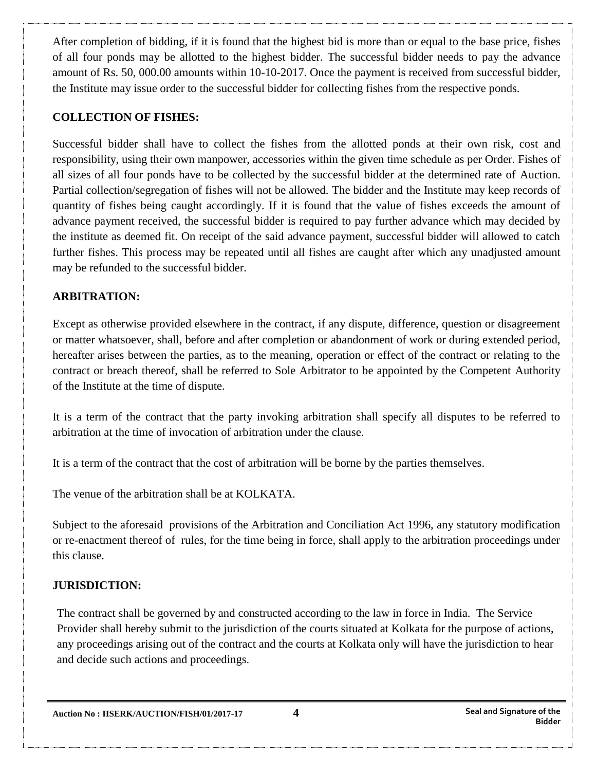After completion of bidding, if it is found that the highest bid is more than or equal to the base price, fishes of all four ponds may be allotted to the highest bidder. The successful bidder needs to pay the advance amount of Rs. 50, 000.00 amounts within 10-10-2017. Once the payment is received from successful bidder, the Institute may issue order to the successful bidder for collecting fishes from the respective ponds.

### **COLLECTION OF FISHES:**

Successful bidder shall have to collect the fishes from the allotted ponds at their own risk, cost and responsibility, using their own manpower, accessories within the given time schedule as per Order. Fishes of all sizes of all four ponds have to be collected by the successful bidder at the determined rate of Auction. Partial collection/segregation of fishes will not be allowed. The bidder and the Institute may keep records of quantity of fishes being caught accordingly. If it is found that the value of fishes exceeds the amount of advance payment received, the successful bidder is required to pay further advance which may decided by the institute as deemed fit. On receipt of the said advance payment, successful bidder will allowed to catch further fishes. This process may be repeated until all fishes are caught after which any unadjusted amount may be refunded to the successful bidder.

### **ARBITRATION:**

Except as otherwise provided elsewhere in the contract, if any dispute, difference, question or disagreement or matter whatsoever, shall, before and after completion or abandonment of work or during extended period, hereafter arises between the parties, as to the meaning, operation or effect of the contract or relating to the contract or breach thereof, shall be referred to Sole Arbitrator to be appointed by the Competent Authority of the Institute at the time of dispute.

It is a term of the contract that the party invoking arbitration shall specify all disputes to be referred to arbitration at the time of invocation of arbitration under the clause.

It is a term of the contract that the cost of arbitration will be borne by the parties themselves.

The venue of the arbitration shall be at KOLKATA.

Subject to the aforesaid provisions of the Arbitration and Conciliation Act 1996, any statutory modification or re-enactment thereof of rules, for the time being in force, shall apply to the arbitration proceedings under this clause.

### **JURISDICTION:**

The contract shall be governed by and constructed according to the law in force in India. The Service Provider shall hereby submit to the jurisdiction of the courts situated at Kolkata for the purpose of actions, any proceedings arising out of the contract and the courts at Kolkata only will have the jurisdiction to hear and decide such actions and proceedings.